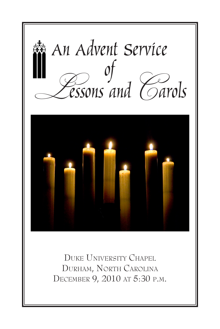

Duke University Chapel Durham, North Carolina December 9, 2010 at 5:30 p.m.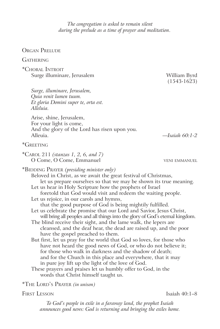*The congregation is asked to remain silent during the prelude as a time of prayer and meditation*.

ORGAN PRELUDE

### **GATHERING**

\*Choral Introit Surge illuminare, Jerusalem William Byrd

 (1543-1623)

*Surge, illuminare, Jerusalem, Quia venit lumen tuum. Et gloria Domini super te, orta est. Alleluia.*

Arise, shine, Jerusalem, For your light is come, And the glory of the Lord has risen upon you. Alleuia. *—Isaiah 60:1-2*

# \*Greeting

| *CAROL 211 (stanzas 1, 2, 6, and 7) |  |  |  |
|-------------------------------------|--|--|--|
| O Come, O Come, Emmanuel            |  |  |  |

**VENI EMMANUEL** 

\*Bidding Prayer *(presiding minister only)* Beloved in Christ, as we await the great festival of Christmas, let us prepare ourselves so that we may be shown its true meaning. Let us hear in Holy Scripture how the prophets of Israel foretold that God would visit and redeem the waiting people. Let us rejoice, in our carols and hymns, that the good purpose of God is being mightily fulfilled. Let us celebrate the promise that our Lord and Savior, Jesus Christ, will bring all peoples and all things into the glory of God's eternal kingdom. The blind receive their sight, and the lame walk, the lepers are cleansed, and the deaf hear, the dead are raised up, and the poor have the gospel preached to them. But first, let us pray for the world that God so loves, for those who have not heard the good news of God, or who do not believe it; for those who walk in darkness and the shadow of death; and for the Church in this place and everywhere, that it may in pure joy lift up the light of the love of God. These prayers and praises let us humbly offer to God, in the words that Christ himself taught us. \*The Lord's Prayer *(in unison)*

FIRST LESSON Isaiah 40:1–8

*To God's people in exile in a faraway land, the prophet Isaiah announces good news: God is returning and bringing the exiles home.*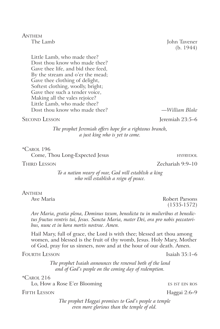ANTHEM<br>The Lamb

John Tavener (b. 1944)

Little Lamb, who made thee? Dost thou know who made thee? Gave thee life, and bid thee feed, By the stream and o'er the mead; Gave thee clothing of delight, Softest clothing, woolly, bright; Gave thee such a tender voice, Making all the vales rejoice? Little Lamb, who made thee? Dost thou know who made thee? *—William Blake*

Second Lesson **Contract Contract Contract Contract Contract Contract Contract Contract Contract Contract Contract Contract Contract Contract Contract Contract Contract Contract Contract Contract Contract Contract Contract** 

*The prophet Jeremiah offers hope for a righteous branch, a just king who is yet to come.*

\*Carol 196

Come, Thou Long-Expected Jesus **hyfrances** HYFRYDOL

THIRD LESSON **CHARGE 2018 Zechariah 9:9–10** 

*To a nation weary of war, God will establish a king who will establish a reign of peace.*

ANTHEM<br>Ave Maria

Robert Parsons (1535-1572)

*Ave Maria, gratia plena, Dominus tecum, benedicta tu in mulieribus et benedictus fructus ventris tui, Jesus. Sancta Maria, mater Dei, ora pro nobis peccatoribus, nunc et in hora mortis nostrae. Amen.* 

Hail Mary, full of grace, the Lord is with thee; blessed art thou among women, and blessed is the fruit of thy womb, Jesus. Holy Mary, Mother of God, pray for us sinners, now and at the hour of our death. Amen.

FOURTH LESSON **ISLAMING** LESSON **ISLAMING** LESSON

*The prophet Isaiah announces the renewal both of the land and of God's people on the coming day of redemption.*

\*Carol 216

Lo, How a Rose E'er Blooming ES IST EIN ROS

FIFTH LESSON Haggai 2:6–9

*The prophet Haggai promises to God's people a temple even more glorious than the temple of old.*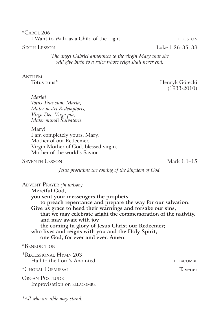\*Carol 206 I Want to Walk as a Child of the Light **houst** houston

*The angel Gabriel announces to the virgin Mary that she will give birth to a ruler whose reign shall never end.*

# ANTHEM<br>Totus tuus\*

Henryk Górecki (1933-2010)

*Maria! Totus Tuus sum, Maria, Mater nostri Redemptoris, Virgo Dei, Virgo pia, Mater mundi Salvatoris.*

Mary! I am completely yours, Mary, Mother of our Redeemer. Virgin Mother of God, blessed virgin, Mother of the world's Savior.

# Seventh Lesson Mark 1:1–15

*Jesus proclaims the coming of the kingdom of God.*

| <b>ADVENT PRAYER</b> (in unison)                                |                  |
|-----------------------------------------------------------------|------------------|
| Merciful God,                                                   |                  |
| you sent your messengers the prophets                           |                  |
| to preach repentance and prepare the way for our salvation.     |                  |
| Give us grace to heed their warnings and forsake our sins,      |                  |
| that we may celebrate aright the commemoration of the nativity, |                  |
| and may await with joy                                          |                  |
| the coming in glory of Jesus Christ our Redeemer;               |                  |
| who lives and reigns with you and the Holy Spirit,              |                  |
| one God, for ever and ever. Amen.                               |                  |
| *BENEDICTION                                                    |                  |
| *RECESSIONAL HYMN 203                                           |                  |
| Hail to the Lord's Anointed                                     | <b>ELLACOMBE</b> |
|                                                                 |                  |
| *Choral Dismissal                                               | Tavener          |
| <b>ORGAN POSTLUDE</b>                                           |                  |
| Improvisation on ELLACOMBE                                      |                  |
|                                                                 |                  |
| *All who are able may stand.                                    |                  |

SIXTH LESSON Luke 1:26–35, 38